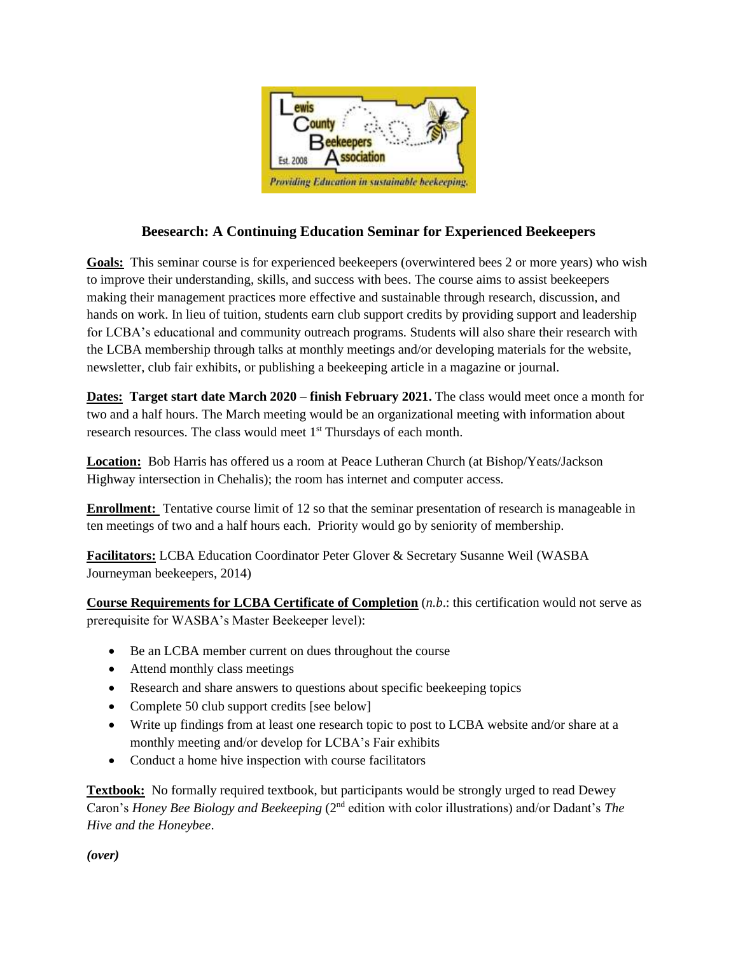

## **Beesearch: A Continuing Education Seminar for Experienced Beekeepers**

**Goals:** This seminar course is for experienced beekeepers (overwintered bees 2 or more years) who wish to improve their understanding, skills, and success with bees. The course aims to assist beekeepers making their management practices more effective and sustainable through research, discussion, and hands on work. In lieu of tuition, students earn club support credits by providing support and leadership for LCBA's educational and community outreach programs. Students will also share their research with the LCBA membership through talks at monthly meetings and/or developing materials for the website, newsletter, club fair exhibits, or publishing a beekeeping article in a magazine or journal.

**Dates: Target start date March 2020 – finish February 2021.** The class would meet once a month for two and a half hours. The March meeting would be an organizational meeting with information about research resources. The class would meet 1<sup>st</sup> Thursdays of each month.

**Location:** Bob Harris has offered us a room at Peace Lutheran Church (at Bishop/Yeats/Jackson Highway intersection in Chehalis); the room has internet and computer access.

**Enrollment:** Tentative course limit of 12 so that the seminar presentation of research is manageable in ten meetings of two and a half hours each. Priority would go by seniority of membership.

**Facilitators:** LCBA Education Coordinator Peter Glover & Secretary Susanne Weil (WASBA Journeyman beekeepers, 2014)

**Course Requirements for LCBA Certificate of Completion** (*n.b*.: this certification would not serve as prerequisite for WASBA's Master Beekeeper level):

- Be an LCBA member current on dues throughout the course
- Attend monthly class meetings
- Research and share answers to questions about specific beekeeping topics
- Complete 50 club support credits [see below]
- Write up findings from at least one research topic to post to LCBA website and/or share at a monthly meeting and/or develop for LCBA's Fair exhibits
- Conduct a home hive inspection with course facilitators

**Textbook:** No formally required textbook, but participants would be strongly urged to read Dewey Caron's *Honey Bee Biology and Beekeeping* (2nd edition with color illustrations) and/or Dadant's *The Hive and the Honeybee*.

*(over)*